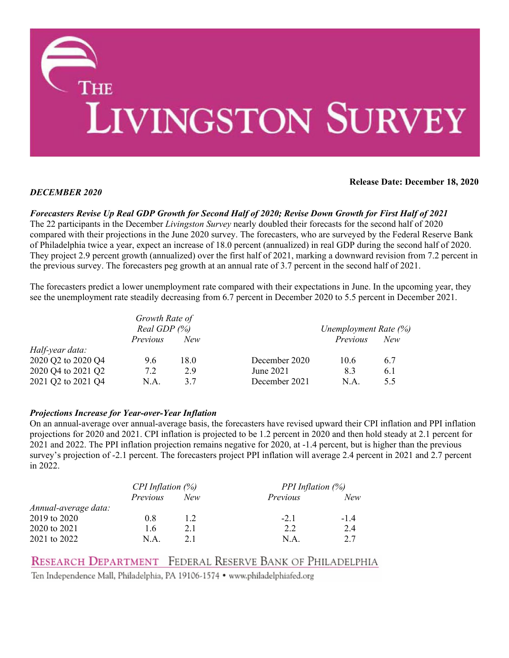

# *DECEMBER 2020*

**Release Date: December 18, 2020**

*Forecasters Revise Up Real GDP Growth for Second Half of 2020; Revise Down Growth for First Half of 2021* The 22 participants in the December *Livingston Survey* nearly doubled their forecasts for the second half of 2020 compared with their projections in the June 2020 survey. The forecasters, who are surveyed by the Federal Reserve Bank of Philadelphia twice a year, expect an increase of 18.0 percent (annualized) in real GDP during the second half of 2020. They project 2.9 percent growth (annualized) over the first half of 2021, marking a downward revision from 7.2 percent in the previous survey. The forecasters peg growth at an annual rate of 3.7 percent in the second half of 2021.

# The forecasters predict a lower unemployment rate compared with their expectations in June. In the upcoming year, they see the unemployment rate steadily decreasing from 6.7 percent in December 2020 to 5.5 percent in December 2021.

|                    | Growth Rate of<br>Real GDP $(%)$ |      |               | Unemployment Rate (%) |     |  |
|--------------------|----------------------------------|------|---------------|-----------------------|-----|--|
|                    | <i>Previous</i>                  | New  |               | Previous              | New |  |
| Half-year data:    |                                  |      |               |                       |     |  |
| 2020 Q2 to 2020 Q4 | 9.6                              | 18.0 | December 2020 | 10.6                  | 6.7 |  |
| 2020 Q4 to 2021 Q2 | 7.2                              | 2.9  | June 2021     | 8.3                   | 6.1 |  |
| 2021 Q2 to 2021 Q4 | N.A.                             | 3.7  | December 2021 | N.A.                  | 5.5 |  |

# *Projections Increase for Year-over-Year Inflation*

On an annual-average over annual-average basis, the forecasters have revised upward their CPI inflation and PPI inflation projections for 2020 and 2021. CPI inflation is projected to be 1.2 percent in 2020 and then hold steady at 2.1 percent for 2021 and 2022. The PPI inflation projection remains negative for 2020, at -1.4 percent, but is higher than the previous survey's projection of -2.1 percent. The forecasters project PPI inflation will average 2.4 percent in 2021 and 2.7 percent in 2022.

|                      | CPI Inflation $(\%)$ |      | <b>PPI</b> Inflation $(\%)$ |        |  |
|----------------------|----------------------|------|-----------------------------|--------|--|
|                      | <i>Previous</i>      | New  | Previous                    | New    |  |
| Annual-average data: |                      |      |                             |        |  |
| 2019 to 2020         | 0.8                  | 1.2. | $-2.1$                      | $-1.4$ |  |
| 2020 to 2021         | 1.6                  | 2.1  | 2.2                         | 2.4    |  |
| 2021 to 2022         | N.A.                 | 21   | N.A.                        | 2.7    |  |

# RESEARCH DEPARTMENT FEDERAL RESERVE BANK OF PHILADELPHIA

Ten Independence Mall, Philadelphia, PA 19106-1574 • www.philadelphiafed.org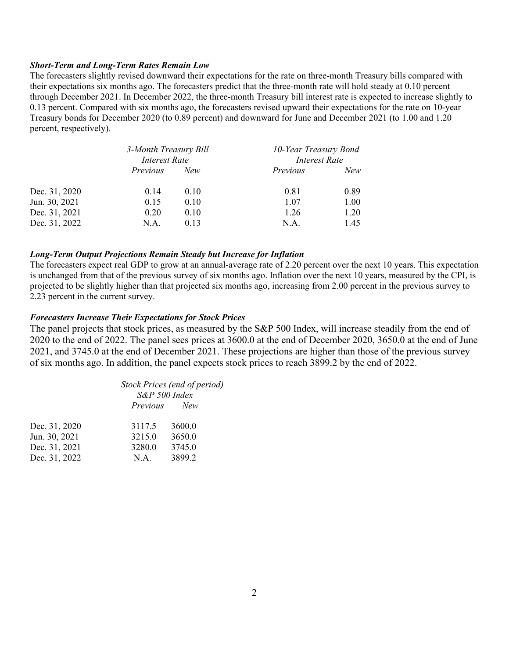## *Short-Term and Long-Term Rates Remain Low*

The forecasters slightly revised downward their expectations for the rate on three-month Treasury bills compared with their expectations six months ago. The forecasters predict that the three-month rate will hold steady at 0.10 percent through December 2021. In December 2022, the three-month Treasury bill interest rate is expected to increase slightly to 0.13 percent. Compared with six months ago, the forecasters revised upward their expectations for the rate on 10-year Treasury bonds for December 2020 (to 0.89 percent) and downward for June and December 2021 (to 1.00 and 1.20 percent, respectively).

|               | 3-Month Treasury Bill<br><b>Interest Rate</b> |      | 10-Year Treasury Bond<br><b>Interest Rate</b> |      |
|---------------|-----------------------------------------------|------|-----------------------------------------------|------|
|               | <i>Previous</i>                               | New  | Previous                                      | New  |
| Dec. 31, 2020 | 0.14                                          | 0.10 | 0.81                                          | 0.89 |
| Jun. 30, 2021 | 0.15                                          | 0.10 | 1.07                                          | 1.00 |
| Dec. 31, 2021 | 0.20                                          | 0.10 | 1.26                                          | 1.20 |
| Dec. 31, 2022 | N.A.                                          | 0.13 | N.A.                                          | 1.45 |

### *Long-Term Output Projections Remain Steady but Increase for Inflation*

The forecasters expect real GDP to grow at an annual-average rate of 2.20 percent over the next 10 years. This expectation is unchanged from that of the previous survey of six months ago. Inflation over the next 10 years, measured by the CPI, is projected to be slightly higher than that projected six months ago, increasing from 2.00 percent in the previous survey to 2.23 percent in the current survey.

## *Forecasters Increase Their Expectations for Stock Prices*

The panel projects that stock prices, as measured by the S&P 500 Index, will increase steadily from the end of 2020 to the end of 2022. The panel sees prices at 3600.0 at the end of December 2020, 3650.0 at the end of June 2021, and 3745.0 at the end of December 2021. These projections are higher than those of the previous survey of six months ago. In addition, the panel expects stock prices to reach 3899.2 by the end of 2022.

> *Stock Prices (end of period) S&P 500 Index Previous New*

| Dec. 31, 2020 | 3117.5 | 3600.0 |
|---------------|--------|--------|
| Jun. 30, 2021 | 3215.0 | 3650.0 |
| Dec. 31, 2021 | 3280.0 | 3745.0 |
| Dec. 31, 2022 | N.A.   | 3899.2 |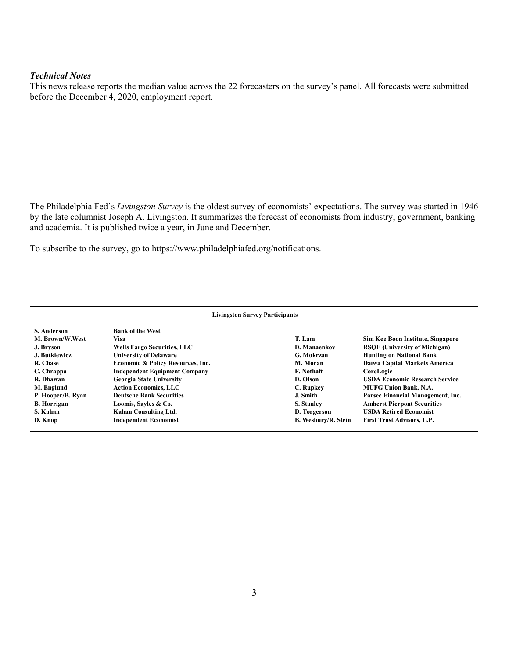### *Technical Notes*

This news release reports the median value across the 22 forecasters on the survey's panel. All forecasts were submitted before the December 4, 2020, employment report.

The Philadelphia Fed's *Livingston Survey* is the oldest survey of economists' expectations. The survey was started in 1946 by the late columnist Joseph A. Livingston. It summarizes the forecast of economists from industry, government, banking and academia. It is published twice a year, in June and December.

To subscribe to the survey, go to https://www.philadelphiafed.org/notifications.

| <b>Livingston Survey Participants</b> |                                      |                            |                                       |  |  |
|---------------------------------------|--------------------------------------|----------------------------|---------------------------------------|--|--|
| S. Anderson                           | <b>Bank of the West</b>              |                            |                                       |  |  |
| M. Brown/W.West                       | Visa                                 | T. Lam                     | Sim Kee Boon Institute, Singapore     |  |  |
| J. Bryson                             | <b>Wells Fargo Securities, LLC</b>   | D. Manaenkov               | <b>RSOE</b> (University of Michigan)  |  |  |
| J. Butkiewicz                         | <b>University of Delaware</b>        | G. Mokrzan                 | <b>Huntington National Bank</b>       |  |  |
| R. Chase                              | Economic & Policy Resources, Inc.    | M. Moran                   | Daiwa Capital Markets America         |  |  |
| C. Chrappa                            | <b>Independent Equipment Company</b> | F. Nothaft                 | CoreLogic                             |  |  |
| R. Dhawan                             | <b>Georgia State University</b>      | D. Olson                   | <b>USDA Economic Research Service</b> |  |  |
| M. Englund                            | <b>Action Economics, LLC</b>         | C. Rupkey                  | <b>MUFG Union Bank, N.A.</b>          |  |  |
| P. Hooper/B. Ryan                     | <b>Deutsche Bank Securities</b>      | J. Smith                   | Parsec Financial Management, Inc.     |  |  |
| <b>B.</b> Horrigan                    | Loomis, Sayles & Co.                 | S. Stanley                 | <b>Amherst Pierpont Securities</b>    |  |  |
| S. Kahan                              | Kahan Consulting Ltd.                | D. Torgerson               | <b>USDA Retired Economist</b>         |  |  |
| D. Knop                               | <b>Independent Economist</b>         | <b>B. Wesbury/R. Stein</b> | <b>First Trust Advisors, L.P.</b>     |  |  |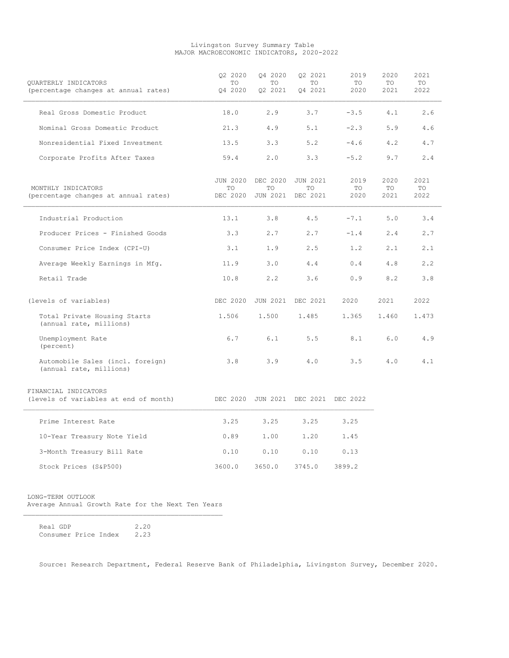#### Livingston Survey Summary Table MAJOR MACROECONOMIC INDICATORS, 2020-2022

| OUARTERLY INDICATORS<br>(percentage changes at annual rates)  | Q2 2020<br>TO<br>04 2020 | Q4 2020<br>TO<br>Q2 2021 | Q2 2021<br>TO<br>04 2021                     | 2019<br>TO<br>2020 | 2020<br>TO<br>2021 | 2021<br>TO<br>2022 |
|---------------------------------------------------------------|--------------------------|--------------------------|----------------------------------------------|--------------------|--------------------|--------------------|
| Real Gross Domestic Product                                   | 18.0                     | 2.9                      | 3.7                                          | $-3.5$             | 4.1                | 2.6                |
| Nominal Gross Domestic Product                                | 21.3                     | 4.9                      | 5.1                                          | $-2.3$             | 5.9                | 4.6                |
| Nonresidential Fixed Investment                               | 13.5                     | 3.3                      | 5.2                                          | $-4.6$             | 4.2                | 4.7                |
| Corporate Profits After Taxes                                 | 59.4                     | 2.0                      | 3.3                                          | $-5.2$             | 9.7                | 2.4                |
| MONTHLY INDICATORS<br>(percentage changes at annual rates)    | TO<br>DEC 2020           | TO<br>JUN 2021           | JUN 2020 DEC 2020 JUN 2021<br>TO<br>DEC 2021 | 2019<br>TO<br>2020 | 2020<br>TO<br>2021 | 2021<br>TO<br>2022 |
| Industrial Production                                         | 13.1                     | 3.8                      | 4.5                                          | $-7.1$             | 5.0                | 3.4                |
| Producer Prices - Finished Goods                              | 3.3                      | 2.7                      | 2.7                                          | $-1.4$             | 2.4                | 2.7                |
| Consumer Price Index (CPI-U)                                  | 3.1                      | 1.9                      | 2.5                                          | 1.2                | 2.1                | 2.1                |
| Average Weekly Earnings in Mfg.                               | 11.9                     | 3.0                      | 4.4                                          | 0.4                | 4.8                | 2.2                |
| Retail Trade                                                  | 10.8                     | 2.2                      | 3.6                                          | 0.9                | 8.2                | 3.8                |
| (levels of variables)                                         | DEC 2020                 |                          | JUN 2021 DEC 2021                            | 2020               | 2021               | 2022               |
| Total Private Housing Starts<br>(annual rate, millions)       | 1.506                    | 1,500                    | 1,485                                        | 1.365              | 1.460              | 1.473              |
| Unemployment Rate<br>(percent)                                | 6.7                      | 6.1                      | 5.5                                          | 8.1                | 6.0                | 4.9                |
| Automobile Sales (incl. foreign)<br>(annual rate, millions)   | 3.8                      | 3.9                      | 4.0                                          | 3.5                | 4.0                | 4.1                |
| FINANCIAL INDICATORS<br>(levels of variables at end of month) |                          |                          | DEC 2020 JUN 2021 DEC 2021 DEC 2022          |                    |                    |                    |
| Prime Interest Rate                                           | 3.25                     | 3.25                     | 3.25                                         | 3.25               |                    |                    |
| 10-Year Treasury Note Yield                                   | 0.89                     | 1.00                     | 1.20                                         | 1.45               |                    |                    |
| 3-Month Treasury Bill Rate                                    | 0.10                     | 0.10                     | 0.10                                         | 0.13               |                    |                    |
| Stock Prices (S&P500)                                         | 3600.0                   | 3650.0                   | 3745.0                                       | 3899.2             |                    |                    |

 LONG-TERM OUTLOOK Average Annual Growth Rate for the Next Ten Years

Real GDP 2.20 Consumer Price Index 2.23

Source: Research Department, Federal Reserve Bank of Philadelphia, Livingston Survey, December 2020.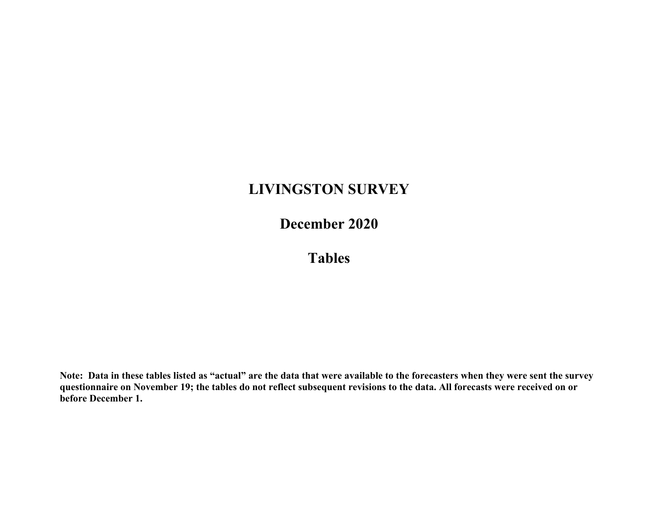# **LIVINGSTON SURVEY**

**December 2020**

**Tables**

**Note: Data in these tables listed as "actual" are the data that were available to the forecasters when they were sent the survey questionnaire on November 19; the tables do not reflect subsequent revisions to the data. All forecasts were received on or before December 1.**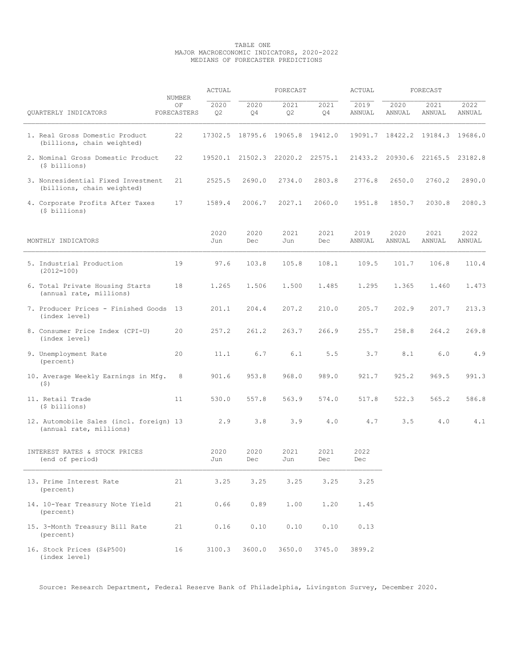#### TABLE ONE MAJOR MACROECONOMIC INDICATORS, 2020-2022 MEDIANS OF FORECASTER PREDICTIONS

|                                                                    | NUMBER            | ACTUAL                 |                                 | FORECAST    |             | ACTUAL         |                | FORECAST        |                |
|--------------------------------------------------------------------|-------------------|------------------------|---------------------------------|-------------|-------------|----------------|----------------|-----------------|----------------|
| QUARTERLY INDICATORS                                               | ΟF<br>FORECASTERS | 2020<br>Q <sub>2</sub> | 2020<br>Q4                      | 2021<br>Q2  | 2021<br>Q4  | 2019<br>ANNUAL | 2020<br>ANNUAL | 2021<br>ANNUAL  | 2022<br>ANNUAL |
| 1. Real Gross Domestic Product<br>(billions, chain weighted)       | 22                |                        | 17302.5 18795.6 19065.8 19412.0 |             |             | 19091.7        | 18422.2        | 19184.3         | 19686.0        |
| 2. Nominal Gross Domestic Product<br>(\$ billions)                 | 22                |                        | 19520.1 21502.3                 | 22020.2     | 22575.1     | 21433.2        |                | 20930.6 22165.5 | 23182.8        |
| 3. Nonresidential Fixed Investment<br>(billions, chain weighted)   | 21                | 2525.5                 | 2690.0                          | 2734.0      | 2803.8      | 2776.8         | 2650.0         | 2760.2          | 2890.0         |
| 4. Corporate Profits After Taxes<br>(\$ billions)                  | 17                | 1589.4                 | 2006.7                          | 2027.1      | 2060.0      | 1951.8         | 1850.7         | 2030.8          | 2080.3         |
| MONTHLY INDICATORS                                                 |                   | 2020<br>Jun            | 2020<br>Dec                     | 2021<br>Jun | 2021<br>Dec | 2019<br>ANNUAL | 2020<br>ANNUAL | 2021<br>ANNUAL  | 2022<br>ANNUAL |
| 5. Industrial Production<br>$(2012=100)$                           | 19                | 97.6                   | 103.8                           | 105.8       | 108.1       | 109.5          | 101.7          | 106.8           | 110.4          |
| 6. Total Private Housing Starts<br>(annual rate, millions)         | 18                | 1.265                  | 1.506                           | 1.500       | 1.485       | 1.295          | 1.365          | 1.460           | 1.473          |
| 7. Producer Prices - Finished Goods<br>(index level)               | 13                | 201.1                  | 204.4                           | 207.2       | 210.0       | 205.7          | 202.9          | 207.7           | 213.3          |
| 8. Consumer Price Index (CPI-U)<br>(index level)                   | 20                | 257.2                  | 261.2                           | 263.7       | 266.9       | 255.7          | 258.8          | 264.2           | 269.8          |
| 9. Unemployment Rate<br>(percent)                                  | 20                | 11.1                   | 6.7                             | 6.1         | 5.5         | 3.7            | 8.1            | 6.0             | 4.9            |
| 10. Average Weekly Earnings in Mfg.<br>$($ \$)                     | 8                 | 901.6                  | 953.8                           | 968.0       | 989.0       | 921.7          | 925.2          | 969.5           | 991.3          |
| 11. Retail Trade<br>(\$ billions)                                  | 11                | 530.0                  | 557.8                           | 563.9       | 574.0       | 517.8          | 522.3          | 565.2           | 586.8          |
| 12. Automobile Sales (incl. foreign) 13<br>(annual rate, millions) |                   | 2.9                    | 3.8                             | 3.9         | 4.0         | 4.7            | 3.5            | 4.0             | 4.1            |
| INTEREST RATES & STOCK PRICES<br>(end of period)                   |                   | 2020<br>Jun            | 2020<br>Dec                     | 2021<br>Jun | 2021<br>Dec | 2022<br>Dec    |                |                 |                |
| 13. Prime Interest Rate<br>(percent)                               | 21                | 3.25                   | 3.25                            | 3.25        | 3.25        | 3.25           |                |                 |                |
| 14. 10-Year Treasury Note Yield<br>(percent)                       | 21                | 0.66                   | 0.89                            | 1.00        | 1.20        | 1.45           |                |                 |                |
| 15. 3-Month Treasury Bill Rate<br>(percent)                        | 21                | 0.16                   | 0.10                            | 0.10        | 0.10        | 0.13           |                |                 |                |
| 16. Stock Prices (S&P500)<br>(index level)                         | 16                | 3100.3                 | 3600.0                          | 3650.0      | 3745.0      | 3899.2         |                |                 |                |

Source: Research Department, Federal Reserve Bank of Philadelphia, Livingston Survey, December 2020.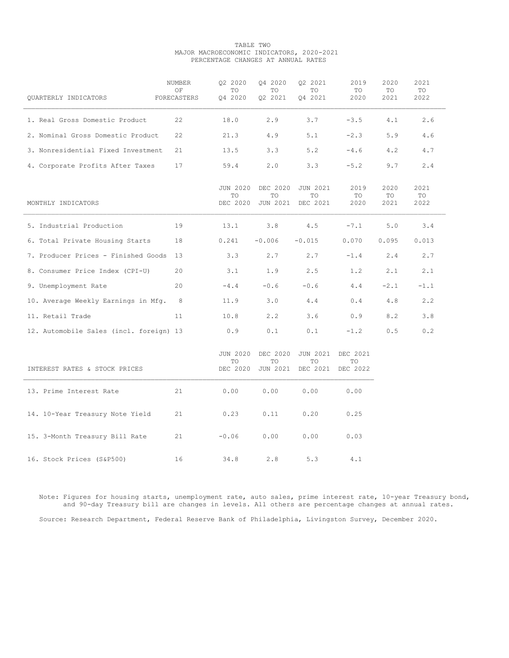#### TABLE TWO MAJOR MACROECONOMIC INDICATORS, 2020-2021 PERCENTAGE CHANGES AT ANNUAL RATES

| QUARTERLY INDICATORS                    | NUMBER<br>OF<br>FORECASTERS | 02 2020<br>TO<br>Q4 2020          | 04 2020<br>TO.<br>Q2 2021         | 02 2021<br>TO<br>Q4 2021          | 2019<br>TO<br>2020         | 2020<br>TO<br>2021 | 2021<br>TO<br>2022 |
|-----------------------------------------|-----------------------------|-----------------------------------|-----------------------------------|-----------------------------------|----------------------------|--------------------|--------------------|
| 1. Real Gross Domestic Product          | 22                          | 18.0                              | 2.9                               | 3.7                               | $-3.5$                     | 4.1                | 2.6                |
| 2. Nominal Gross Domestic Product       | 22                          | 21.3                              | 4.9                               | 5.1                               | $-2.3$                     | 5.9                | 4.6                |
| 3. Nonresidential Fixed Investment      | 21                          | 13.5                              | 3.3                               | 5.2                               | $-4.6$                     | 4.2                | 4.7                |
| 4. Corporate Profits After Taxes        | 17                          | 59.4                              | 2.0                               | 3.3                               | $-5.2$                     | 9.7                | 2.4                |
| MONTHLY INDICATORS                      |                             | <b>JUN 2020</b><br>TO<br>DEC 2020 | DEC 2020<br>TO<br><b>JUN 2021</b> | <b>JUN 2021</b><br>TO<br>DEC 2021 | 2019<br>TO<br>2020         | 2020<br>TO<br>2021 | 2021<br>TO<br>2022 |
| 5. Industrial Production                | 19                          | 13.1                              | 3.8                               | 4.5                               | $-7.1$                     | 5.0                | 3.4                |
| 6. Total Private Housing Starts         | 18                          | 0.241                             | $-0.006$                          | $-0.015$                          | 0.070                      | 0.095              | 0.013              |
| 7. Producer Prices - Finished Goods 13  |                             | 3.3                               | 2.7                               | 2.7                               | $-1.4$                     | 2.4                | 2.7                |
| 8. Consumer Price Index (CPI-U)         | 20                          | 3.1                               | 1.9                               | 2.5                               | 1.2                        | 2.1                | 2.1                |
| 9. Unemployment Rate                    | 20                          | $-4.4$                            | $-0.6$                            | $-0.6$                            | 4.4                        | $-2.1$             | $-1.1$             |
| 10. Average Weekly Earnings in Mfg. 8   |                             | 11.9                              | 3.0                               | 4.4                               | 0.4                        | 4.8                | 2.2                |
| 11. Retail Trade                        | 11                          | 10.8                              | 2, 2                              | 3.6                               | 0.9                        | 8.2                | 3.8                |
| 12. Automobile Sales (incl. foreign) 13 |                             | 0.9                               | 0.1                               | 0.1                               | $-1.2$                     | 0.5                | 0.2                |
| INTEREST RATES & STOCK PRICES           |                             | <b>JUN 2020</b><br>TO<br>DEC 2020 | DEC 2020<br>TO<br><b>JUN 2021</b> | <b>JUN 2021</b><br>TO<br>DEC 2021 | DEC 2021<br>TO<br>DEC 2022 |                    |                    |
| 13. Prime Interest Rate                 | 21                          | 0.00                              | 0.00                              | 0.00                              | 0.00                       |                    |                    |
| 14. 10-Year Treasury Note Yield         | 21                          | 0.23                              | 0.11                              | 0.20                              | 0.25                       |                    |                    |
| 15. 3-Month Treasury Bill Rate          | 21                          | $-0.06$                           | 0.00                              | 0.00                              | 0.03                       |                    |                    |
| 16. Stock Prices (S&P500)               | 16                          | 34.8                              | 2.8                               | 5.3                               | 4.1                        |                    |                    |

 Note: Figures for housing starts, unemployment rate, auto sales, prime interest rate, 10-year Treasury bond, and 90-day Treasury bill are changes in levels. All others are percentage changes at annual rates. Source: Research Department, Federal Reserve Bank of Philadelphia, Livingston Survey, December 2020.